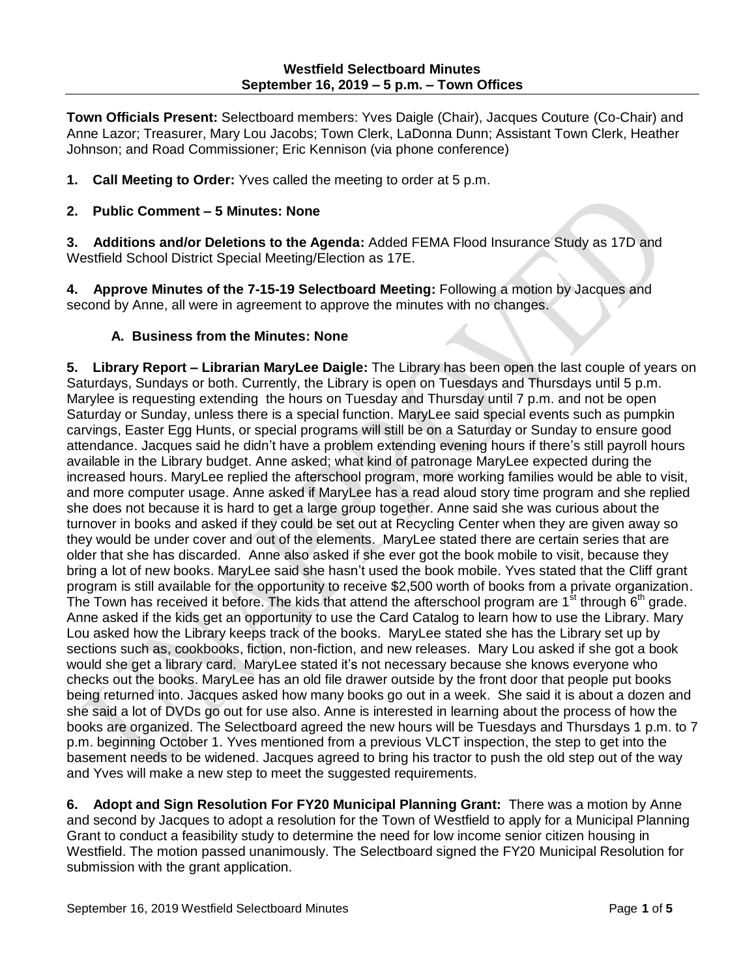**Town Officials Present:** Selectboard members: Yves Daigle (Chair), Jacques Couture (Co-Chair) and Anne Lazor; Treasurer, Mary Lou Jacobs; Town Clerk, LaDonna Dunn; Assistant Town Clerk, Heather Johnson; and Road Commissioner; Eric Kennison (via phone conference)

**1. Call Meeting to Order:** Yves called the meeting to order at 5 p.m.

## **2. Public Comment – 5 Minutes: None**

**3. Additions and/or Deletions to the Agenda:** Added FEMA Flood Insurance Study as 17D and Westfield School District Special Meeting/Election as 17E.

**4. Approve Minutes of the 7-15-19 Selectboard Meeting:** Following a motion by Jacques and second by Anne, all were in agreement to approve the minutes with no changes.

## **A. Business from the Minutes: None**

**5. Library Report – Librarian MaryLee Daigle:** The Library has been open the last couple of years on Saturdays, Sundays or both. Currently, the Library is open on Tuesdays and Thursdays until 5 p.m. Marylee is requesting extending the hours on Tuesday and Thursday until 7 p.m. and not be open Saturday or Sunday, unless there is a special function. MaryLee said special events such as pumpkin carvings, Easter Egg Hunts, or special programs will still be on a Saturday or Sunday to ensure good attendance. Jacques said he didn't have a problem extending evening hours if there's still payroll hours available in the Library budget. Anne asked; what kind of patronage MaryLee expected during the increased hours. MaryLee replied the afterschool program, more working families would be able to visit, and more computer usage. Anne asked if MaryLee has a read aloud story time program and she replied she does not because it is hard to get a large group together. Anne said she was curious about the turnover in books and asked if they could be set out at Recycling Center when they are given away so they would be under cover and out of the elements. MaryLee stated there are certain series that are older that she has discarded. Anne also asked if she ever got the book mobile to visit, because they bring a lot of new books. MaryLee said she hasn't used the book mobile. Yves stated that the Cliff grant program is still available for the opportunity to receive \$2,500 worth of books from a private organization. The Town has received it before. The kids that attend the afterschool program are 1<sup>st</sup> through 6<sup>th</sup> grade. Anne asked if the kids get an opportunity to use the Card Catalog to learn how to use the Library. Mary Lou asked how the Library keeps track of the books. MaryLee stated she has the Library set up by sections such as, cookbooks, fiction, non-fiction, and new releases. Mary Lou asked if she got a book would she get a library card. MaryLee stated it's not necessary because she knows everyone who checks out the books. MaryLee has an old file drawer outside by the front door that people put books being returned into. Jacques asked how many books go out in a week. She said it is about a dozen and she said a lot of DVDs go out for use also. Anne is interested in learning about the process of how the books are organized. The Selectboard agreed the new hours will be Tuesdays and Thursdays 1 p.m. to 7 p.m. beginning October 1. Yves mentioned from a previous VLCT inspection, the step to get into the basement needs to be widened. Jacques agreed to bring his tractor to push the old step out of the way and Yves will make a new step to meet the suggested requirements.

**6. Adopt and Sign Resolution For FY20 Municipal Planning Grant:** There was a motion by Anne and second by Jacques to adopt a resolution for the Town of Westfield to apply for a Municipal Planning Grant to conduct a feasibility study to determine the need for low income senior citizen housing in Westfield. The motion passed unanimously. The Selectboard signed the FY20 Municipal Resolution for submission with the grant application.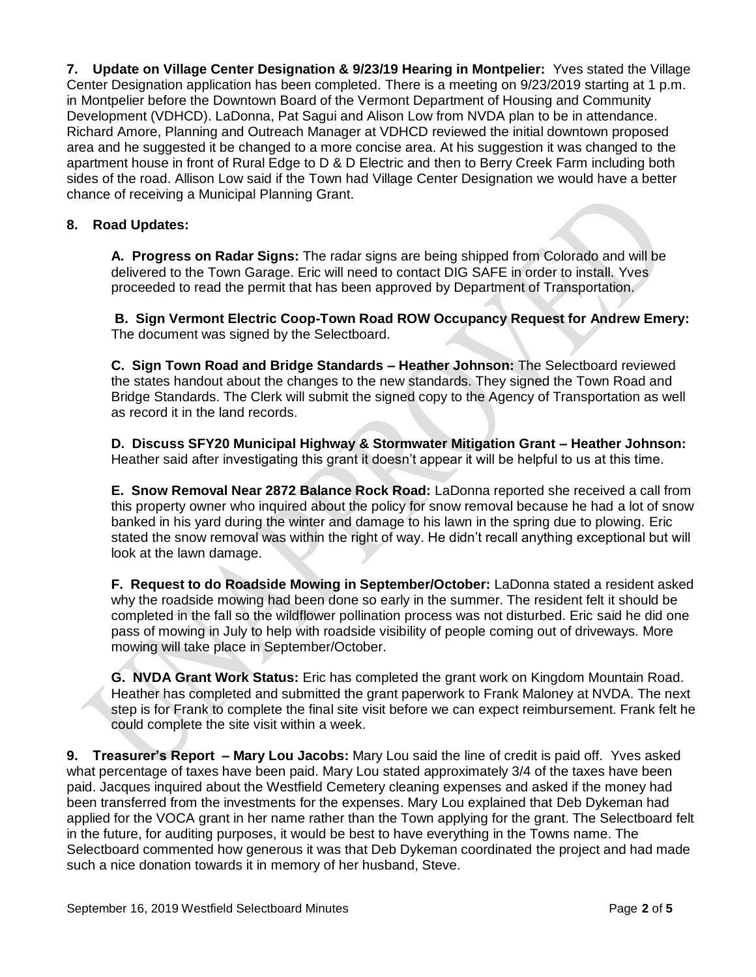**7. Update on Village Center Designation & 9/23/19 Hearing in Montpelier:** Yves stated the Village Center Designation application has been completed. There is a meeting on 9/23/2019 starting at 1 p.m. in Montpelier before the Downtown Board of the Vermont Department of Housing and Community Development (VDHCD). LaDonna, Pat Sagui and Alison Low from NVDA plan to be in attendance. Richard Amore, Planning and Outreach Manager at VDHCD reviewed the initial downtown proposed area and he suggested it be changed to a more concise area. At his suggestion it was changed to the apartment house in front of Rural Edge to D & D Electric and then to Berry Creek Farm including both sides of the road. Allison Low said if the Town had Village Center Designation we would have a better chance of receiving a Municipal Planning Grant.

# **8. Road Updates:**

**A. Progress on Radar Signs:** The radar signs are being shipped from Colorado and will be delivered to the Town Garage. Eric will need to contact DIG SAFE in order to install. Yves proceeded to read the permit that has been approved by Department of Transportation.

**B. Sign Vermont Electric Coop-Town Road ROW Occupancy Request for Andrew Emery:**  The document was signed by the Selectboard.

**C. Sign Town Road and Bridge Standards – Heather Johnson:** The Selectboard reviewed the states handout about the changes to the new standards. They signed the Town Road and Bridge Standards. The Clerk will submit the signed copy to the Agency of Transportation as well as record it in the land records.

**D. Discuss SFY20 Municipal Highway & Stormwater Mitigation Grant – Heather Johnson:** Heather said after investigating this grant it doesn't appear it will be helpful to us at this time.

**E. Snow Removal Near 2872 Balance Rock Road:** LaDonna reported she received a call from this property owner who inquired about the policy for snow removal because he had a lot of snow banked in his yard during the winter and damage to his lawn in the spring due to plowing. Eric stated the snow removal was within the right of way. He didn't recall anything exceptional but will look at the lawn damage.

**F. Request to do Roadside Mowing in September/October:** LaDonna stated a resident asked why the roadside mowing had been done so early in the summer. The resident felt it should be completed in the fall so the wildflower pollination process was not disturbed. Eric said he did one pass of mowing in July to help with roadside visibility of people coming out of driveways. More mowing will take place in September/October.

**G. NVDA Grant Work Status:** Eric has completed the grant work on Kingdom Mountain Road. Heather has completed and submitted the grant paperwork to Frank Maloney at NVDA. The next step is for Frank to complete the final site visit before we can expect reimbursement. Frank felt he could complete the site visit within a week.

**9. Treasurer's Report – Mary Lou Jacobs:** Mary Lou said the line of credit is paid off. Yves asked what percentage of taxes have been paid. Mary Lou stated approximately 3/4 of the taxes have been paid. Jacques inquired about the Westfield Cemetery cleaning expenses and asked if the money had been transferred from the investments for the expenses. Mary Lou explained that Deb Dykeman had applied for the VOCA grant in her name rather than the Town applying for the grant. The Selectboard felt in the future, for auditing purposes, it would be best to have everything in the Towns name. The Selectboard commented how generous it was that Deb Dykeman coordinated the project and had made such a nice donation towards it in memory of her husband, Steve.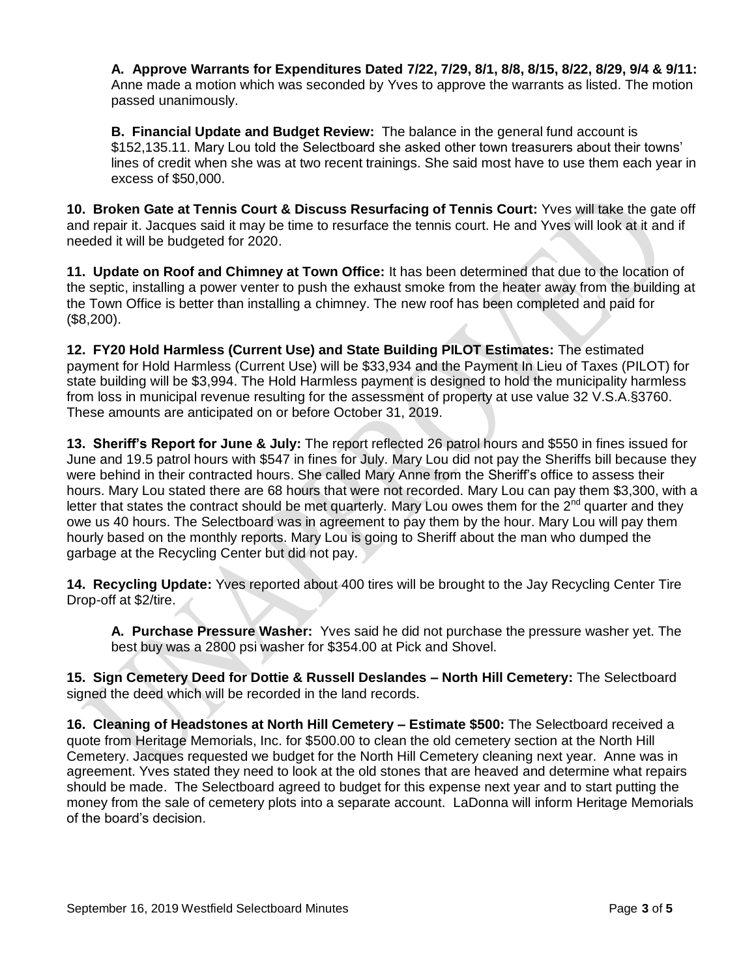**A. Approve Warrants for Expenditures Dated 7/22, 7/29, 8/1, 8/8, 8/15, 8/22, 8/29, 9/4 & 9/11:** Anne made a motion which was seconded by Yves to approve the warrants as listed. The motion passed unanimously.

**B. Financial Update and Budget Review:** The balance in the general fund account is \$152,135.11. Mary Lou told the Selectboard she asked other town treasurers about their towns' lines of credit when she was at two recent trainings. She said most have to use them each year in excess of \$50,000.

**10. Broken Gate at Tennis Court & Discuss Resurfacing of Tennis Court:** Yves will take the gate off and repair it. Jacques said it may be time to resurface the tennis court. He and Yves will look at it and if needed it will be budgeted for 2020.

**11. Update on Roof and Chimney at Town Office:** It has been determined that due to the location of the septic, installing a power venter to push the exhaust smoke from the heater away from the building at the Town Office is better than installing a chimney. The new roof has been completed and paid for (\$8,200).

**12. FY20 Hold Harmless (Current Use) and State Building PILOT Estimates:** The estimated payment for Hold Harmless (Current Use) will be \$33,934 and the Payment In Lieu of Taxes (PILOT) for state building will be \$3,994. The Hold Harmless payment is designed to hold the municipality harmless from loss in municipal revenue resulting for the assessment of property at use value 32 V.S.A.§3760. These amounts are anticipated on or before October 31, 2019.

**13. Sheriff's Report for June & July:** The report reflected 26 patrol hours and \$550 in fines issued for June and 19.5 patrol hours with \$547 in fines for July. Mary Lou did not pay the Sheriffs bill because they were behind in their contracted hours. She called Mary Anne from the Sheriff's office to assess their hours. Mary Lou stated there are 68 hours that were not recorded. Mary Lou can pay them \$3,300, with a letter that states the contract should be met quarterly. Mary Lou owes them for the  $2<sup>nd</sup>$  quarter and they owe us 40 hours. The Selectboard was in agreement to pay them by the hour. Mary Lou will pay them hourly based on the monthly reports. Mary Lou is going to Sheriff about the man who dumped the garbage at the Recycling Center but did not pay.

**14. Recycling Update:** Yves reported about 400 tires will be brought to the Jay Recycling Center Tire Drop-off at \$2/tire.

**A. Purchase Pressure Washer:** Yves said he did not purchase the pressure washer yet. The best buy was a 2800 psi washer for \$354.00 at Pick and Shovel.

**15. Sign Cemetery Deed for Dottie & Russell Deslandes – North Hill Cemetery:** The Selectboard signed the deed which will be recorded in the land records.

**16. Cleaning of Headstones at North Hill Cemetery – Estimate \$500:** The Selectboard received a quote from Heritage Memorials, Inc. for \$500.00 to clean the old cemetery section at the North Hill Cemetery. Jacques requested we budget for the North Hill Cemetery cleaning next year. Anne was in agreement. Yves stated they need to look at the old stones that are heaved and determine what repairs should be made. The Selectboard agreed to budget for this expense next year and to start putting the money from the sale of cemetery plots into a separate account. LaDonna will inform Heritage Memorials of the board's decision.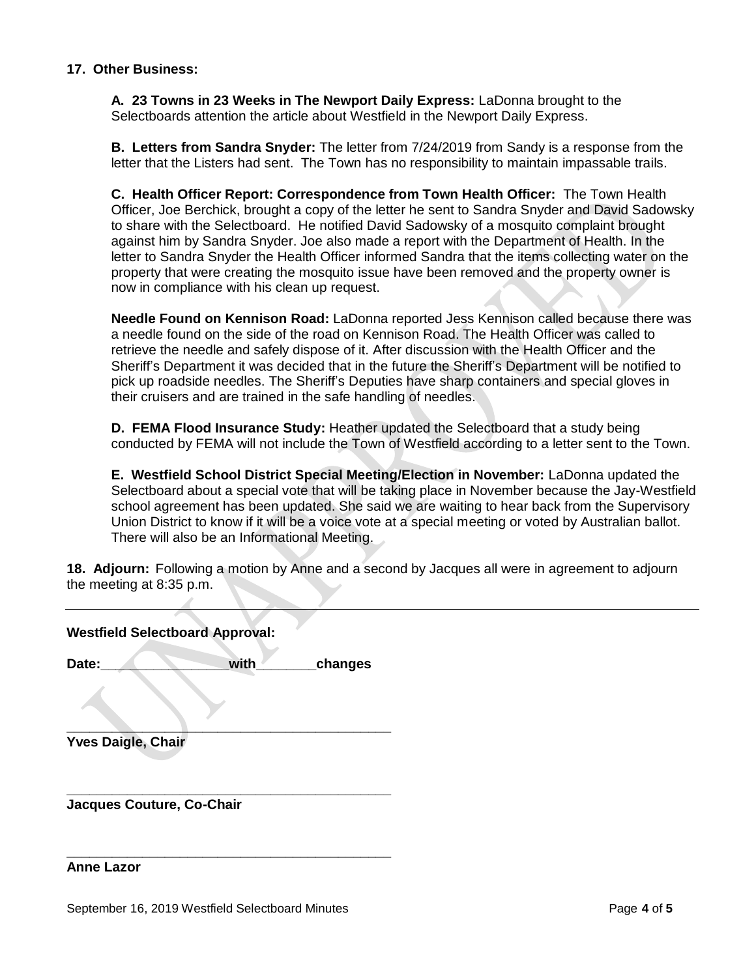### **17. Other Business:**

**A. 23 Towns in 23 Weeks in The Newport Daily Express:** LaDonna brought to the Selectboards attention the article about Westfield in the Newport Daily Express.

**B. Letters from Sandra Snyder:** The letter from 7/24/2019 from Sandy is a response from the letter that the Listers had sent. The Town has no responsibility to maintain impassable trails.

**C. Health Officer Report: Correspondence from Town Health Officer:** The Town Health Officer, Joe Berchick, brought a copy of the letter he sent to Sandra Snyder and David Sadowsky to share with the Selectboard. He notified David Sadowsky of a mosquito complaint brought against him by Sandra Snyder. Joe also made a report with the Department of Health. In the letter to Sandra Snyder the Health Officer informed Sandra that the items collecting water on the property that were creating the mosquito issue have been removed and the property owner is now in compliance with his clean up request.

**Needle Found on Kennison Road:** LaDonna reported Jess Kennison called because there was a needle found on the side of the road on Kennison Road. The Health Officer was called to retrieve the needle and safely dispose of it. After discussion with the Health Officer and the Sheriff's Department it was decided that in the future the Sheriff's Department will be notified to pick up roadside needles. The Sheriff's Deputies have sharp containers and special gloves in their cruisers and are trained in the safe handling of needles.

**D. FEMA Flood Insurance Study:** Heather updated the Selectboard that a study being conducted by FEMA will not include the Town of Westfield according to a letter sent to the Town.

**E. Westfield School District Special Meeting/Election in November:** LaDonna updated the Selectboard about a special vote that will be taking place in November because the Jay-Westfield school agreement has been updated. She said we are waiting to hear back from the Supervisory Union District to know if it will be a voice vote at a special meeting or voted by Australian ballot. There will also be an Informational Meeting.

**18. Adjourn:** Following a motion by Anne and a second by Jacques all were in agreement to adjourn the meeting at 8:35 p.m.

| <b>Westfield Selectboard Approval:</b> |      |         |
|----------------------------------------|------|---------|
| Date:                                  | with | changes |
|                                        |      |         |
| <b>Yves Daigle, Chair</b>              |      |         |
| Jacques Couture, Co-Chair              |      |         |

#### **Anne Lazor**